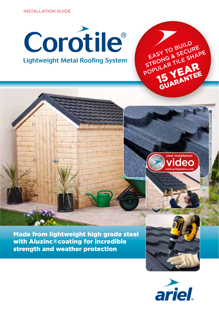INSTALLATION GUIDE





EASY TO BUILD EASY TO BUILDIRE EASY IS & SECULARE

JLAR IEAR GUARANTEE

Made from lightweight high grade steel with Aluzinc®coating for incredible strength and weather protection



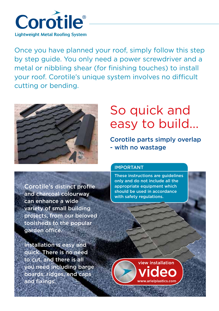

Once you have planned your roof, simply follow this step by step guide. You only need a power screwdriver and a metal or nibbling shear (for finishing touches) to install your roof. Corotile's unique system involves no difficult cutting or bending.



# So quick and easy to build...

Corotile parts simply overlap - with no wastage

Corotile's distinct profile and charcoal colourway can enhance a wide variety of small building projects, from our beloved toolsheds to the popular garden office.

Installation is easy and quick. There is no need to cut, and there is all you need including barge boards, ridges, end caps and fixings.

## IMPORTANT

These instructions are guidelines only and do not include all the appropriate equipment which should be used in accordance with safety regulations.

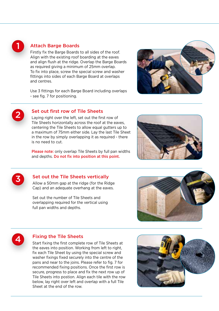

## Attach Barge Boards

Firstly fix the Barge Boards to all sides of the roof. Align with the existing roof boarding at the eaves and align flush at the ridge. Overlap the Barge Boards as required giving a minimum of 25mm overlap. To fix into place, screw the special screw and washer fittings into sides of each Barge Board at overlaps and centres.

Use 3 fittings for each Barge Board including overlaps - see fig. 7 for positioning.





## Set out first row of Tile Sheets

Laying right over the left, set out the first row of Tile Sheets horizontally across the roof at the eaves, centering the Tile Sheets to allow equal gutters up to a maximum of 75mm either side. Lay the last Tile Sheet in the row by simply overlapping it as required - there is no need to cut.

Please note: only overlap Tile Sheets by full pan widths and depths. Do not fix into position at this point.





## Set out the Tile Sheets vertically

Allow a 50mm gap at the ridge (for the Ridge Cap) and an adequate overhang at the eaves.

Set out the number of Tile Sheets and overlapping required for the vertical using full pan widths and depths.





## Fixing the Tile Sheets

Start fixing the first complete row of Tile Sheets at the eaves into position. Working from left to right, fix each Tile Sheet by using the special screw and washer fixings fixed securely into the centre of the pans and near to the joins. Please refer to fig. 7 for recommended fixing positions. Once the first row is secure, progress to place and fix the next row up of Tile Sheets into postion. Align each tile with the row below, lay right over left and overlap with a full Tile Sheet at the end of the row.

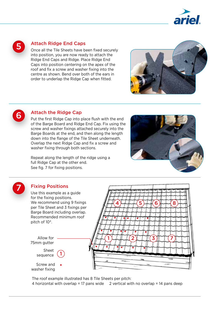

5

## Attach Ridge End Caps

Once all the Tile Sheets have been fixed securely into position, you are now ready to attach the Ridge End Caps and Ridge. Place Ridge End Caps into position centering on the apex of the roof and fix a screw and washer fixing into the centre as shown. Bend over both of the ears in order to underlap the Ridge Cap when fitted.





7

# Attach the Ridge Cap

Put the first Ridge Cap into place flush with the end of the Barge Board and Ridge End Cap. Fix using the screw and washer fixings attached securely into the Barge Boards at the end, and then along the length down into the flange of the Tile Sheet underneath. Overlap the next Ridge Cap and fix a screw and washer fixing through both sections.

Repeat along the length of the ridge using a full Ridge Cap at the other end. See fig. 7 for fixing positions.



# Fixing Positions

Sheet sequence

Screw and washer fixing

Allow for 75mm gutter

Use this example as a guide for the fixing positions. We recommend using 9 fixings per Tile Sheet and 3 fixings per Barge Board including overlap. Recommended minimum roof pitch of 10°.

1



The roof example illustrated has 8 Tile Sheets per pitch: 4 horizontal with overlap = 17 pans wide 2 vertical with no overlap = 14 pans deep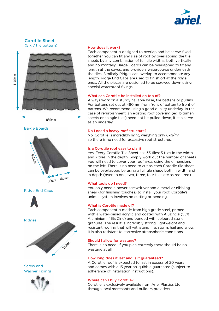

### Corotile Sheet (5 x 7 tile pattern)



860mm

Barge Boards



Ridge End Caps





Screw and Washer Fixings



#### How does it work?

Each component is designed to overlap and be screw-fixed together. You can fit any size of roof by overlapping the tile sheets by any combination of full tile widths, both vertically and horizontally. Barge Boards can be overlapped to fit any length at the eaves, and provide a watercourse underneath the tiles. Similarly Ridges can overlap to accommodate any length. Ridge End Caps are used to finish off at the ridge ends. All the pieces are designed to be screwed down using special waterproof fixings.

#### What can Corotile be installed on top of?

Always work on a sturdy nailable base, tile battens or purlins. For battens set out at 480mm from front of batten to front of battens. We recommend using a good quality underlay. In the case of refurbishment, an existing roof covering (eg. bitumen sheets or shingle tiles) need not be pulled down, it can serve as an underlay.

#### Do I need a heavy roof structure?

No. Corotile is incredibly light, weighing only 6kg/m² so there is no need for excessive roof structures.

#### Is a Corotile roof easy to plan?

Yes. Every Corotile Tile Sheet has 35 tiles: 5 tiles in the width and 7 tiles in the depth. Simply work out the number of sheets you will need to cover your roof area, using the dimensions on the left. There is no need to cut as each Corotile tile sheet can be overlapped by using a full tile shape both in width and in depth (overlap one, two, three, four tiles etc as required).

#### What tools do I need?

You only need a power screwdriver and a metal or nibbling shear (for finishing touches) to install your roof. Corotile's unique system involves no cutting or bending.

#### What is Corotile made of?

Each component is made from high grade steel, primed with a water-based acrylic and coated with Aluzinc® (55% Aluminium, 45% Zinc) and bonded with coloured stone granules. The result is incredibly strong, lightweight and resistant roofing that will withstand fire, storm, hail and snow. It is also resistant to corrrosive atmospheric conditions.

#### Should I allow for wastage?

There is no need. If you plan correctly there should be no wastage at all.

#### How long does it last and is it guaranteed?

A Corotile roof is expected to last in excess of 20 years and comes with a 15 year no-quibble guarantee (subject to adherance of installation instructions).

#### Where can I buy Corotile?

Corotile is exclusively available from Ariel Plastics Ltd. through local merchants and builders providers.